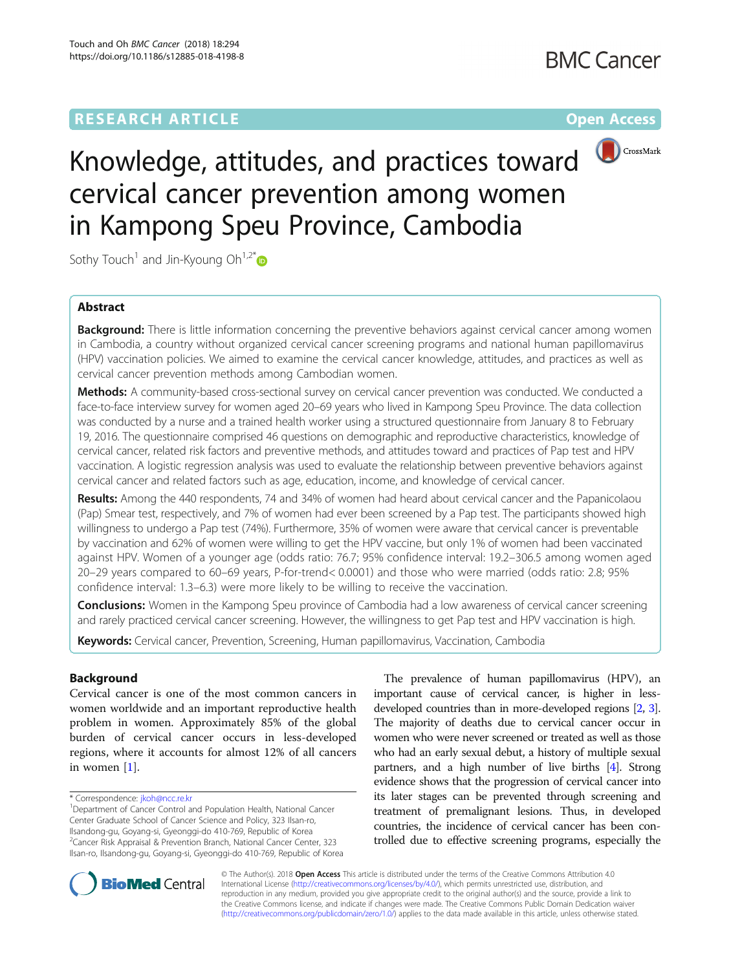# **RESEARCH ARTICLE Example 2014 12:30 The Contract of Contract ACCESS**



# Knowledge, attitudes, and practices toward cervical cancer prevention among women in Kampong Speu Province, Cambodia

Sothy Touch<sup>1</sup> and Jin-Kyoung Oh<sup>1,2[\\*](http://orcid.org/0000-0001-9331-3054)</sup>

## Abstract

**Background:** There is little information concerning the preventive behaviors against cervical cancer among women in Cambodia, a country without organized cervical cancer screening programs and national human papillomavirus (HPV) vaccination policies. We aimed to examine the cervical cancer knowledge, attitudes, and practices as well as cervical cancer prevention methods among Cambodian women.

Methods: A community-based cross-sectional survey on cervical cancer prevention was conducted. We conducted a face-to-face interview survey for women aged 20–69 years who lived in Kampong Speu Province. The data collection was conducted by a nurse and a trained health worker using a structured questionnaire from January 8 to February 19, 2016. The questionnaire comprised 46 questions on demographic and reproductive characteristics, knowledge of cervical cancer, related risk factors and preventive methods, and attitudes toward and practices of Pap test and HPV vaccination. A logistic regression analysis was used to evaluate the relationship between preventive behaviors against cervical cancer and related factors such as age, education, income, and knowledge of cervical cancer.

Results: Among the 440 respondents, 74 and 34% of women had heard about cervical cancer and the Papanicolaou (Pap) Smear test, respectively, and 7% of women had ever been screened by a Pap test. The participants showed high willingness to undergo a Pap test (74%). Furthermore, 35% of women were aware that cervical cancer is preventable by vaccination and 62% of women were willing to get the HPV vaccine, but only 1% of women had been vaccinated against HPV. Women of a younger age (odds ratio: 76.7; 95% confidence interval: 19.2–306.5 among women aged 20–29 years compared to 60–69 years, P-for-trend< 0.0001) and those who were married (odds ratio: 2.8; 95% confidence interval: 1.3–6.3) were more likely to be willing to receive the vaccination.

**Conclusions:** Women in the Kampong Speu province of Cambodia had a low awareness of cervical cancer screening and rarely practiced cervical cancer screening. However, the willingness to get Pap test and HPV vaccination is high.

Keywords: Cervical cancer, Prevention, Screening, Human papillomavirus, Vaccination, Cambodia

### Background

Cervical cancer is one of the most common cancers in women worldwide and an important reproductive health problem in women. Approximately 85% of the global burden of cervical cancer occurs in less-developed regions, where it accounts for almost 12% of all cancers in women [[1\]](#page-7-0).

The prevalence of human papillomavirus (HPV), an important cause of cervical cancer, is higher in lessdeveloped countries than in more-developed regions [\[2,](#page-7-0) [3](#page-7-0)]. The majority of deaths due to cervical cancer occur in women who were never screened or treated as well as those who had an early sexual debut, a history of multiple sexual partners, and a high number of live births [\[4\]](#page-7-0). Strong evidence shows that the progression of cervical cancer into its later stages can be prevented through screening and treatment of premalignant lesions. Thus, in developed countries, the incidence of cervical cancer has been controlled due to effective screening programs, especially the



© The Author(s). 2018 Open Access This article is distributed under the terms of the Creative Commons Attribution 4.0 International License [\(http://creativecommons.org/licenses/by/4.0/](http://creativecommons.org/licenses/by/4.0/)), which permits unrestricted use, distribution, and reproduction in any medium, provided you give appropriate credit to the original author(s) and the source, provide a link to the Creative Commons license, and indicate if changes were made. The Creative Commons Public Domain Dedication waiver [\(http://creativecommons.org/publicdomain/zero/1.0/](http://creativecommons.org/publicdomain/zero/1.0/)) applies to the data made available in this article, unless otherwise stated.

<sup>\*</sup> Correspondence: [jkoh@ncc.re.kr](mailto:jkoh@ncc.re.kr) <sup>1</sup>

<sup>&</sup>lt;sup>1</sup>Department of Cancer Control and Population Health, National Cancer Center Graduate School of Cancer Science and Policy, 323 Ilsan-ro, Ilsandong-gu, Goyang-si, Gyeonggi-do 410-769, Republic of Korea <sup>2</sup> Cancer Risk Appraisal & Prevention Branch, National Cancer Center, 323 Ilsan-ro, Ilsandong-gu, Goyang-si, Gyeonggi-do 410-769, Republic of Korea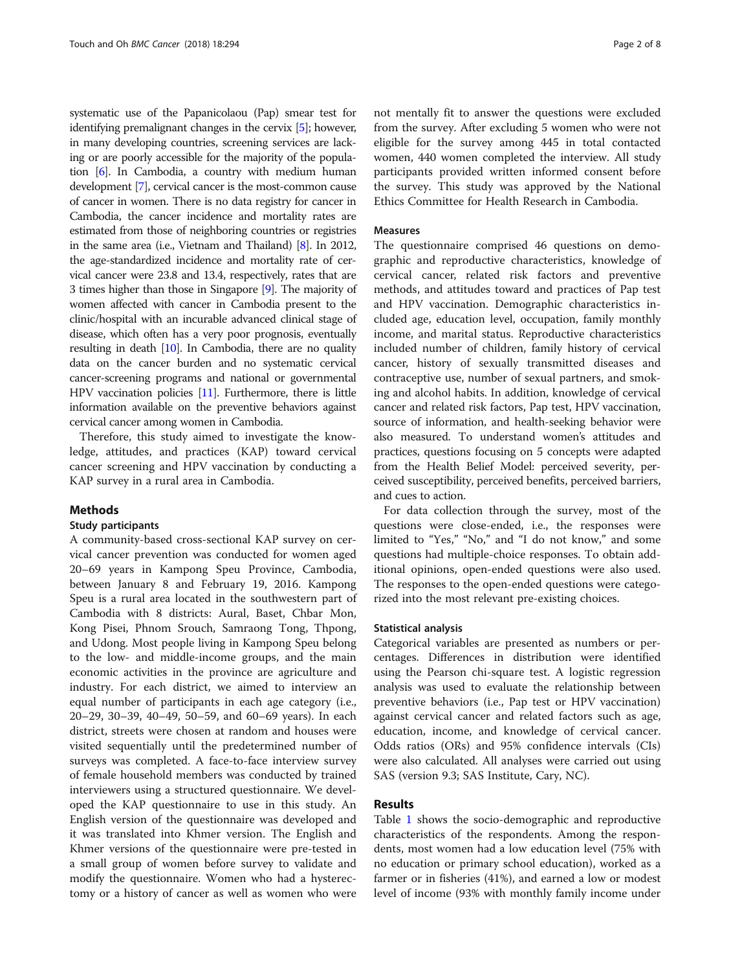systematic use of the Papanicolaou (Pap) smear test for identifying premalignant changes in the cervix [[5](#page-7-0)]; however, in many developing countries, screening services are lacking or are poorly accessible for the majority of the population [[6](#page-7-0)]. In Cambodia, a country with medium human development [[7](#page-7-0)], cervical cancer is the most-common cause of cancer in women. There is no data registry for cancer in Cambodia, the cancer incidence and mortality rates are estimated from those of neighboring countries or registries in the same area (i.e., Vietnam and Thailand) [[8](#page-7-0)]. In 2012, the age-standardized incidence and mortality rate of cervical cancer were 23.8 and 13.4, respectively, rates that are 3 times higher than those in Singapore [\[9\]](#page-7-0). The majority of women affected with cancer in Cambodia present to the clinic/hospital with an incurable advanced clinical stage of disease, which often has a very poor prognosis, eventually resulting in death [\[10\]](#page-7-0). In Cambodia, there are no quality data on the cancer burden and no systematic cervical cancer-screening programs and national or governmental HPV vaccination policies [\[11\]](#page-7-0). Furthermore, there is little information available on the preventive behaviors against cervical cancer among women in Cambodia.

Therefore, this study aimed to investigate the knowledge, attitudes, and practices (KAP) toward cervical cancer screening and HPV vaccination by conducting a KAP survey in a rural area in Cambodia.

#### Methods

#### Study participants

A community-based cross-sectional KAP survey on cervical cancer prevention was conducted for women aged 20–69 years in Kampong Speu Province, Cambodia, between January 8 and February 19, 2016. Kampong Speu is a rural area located in the southwestern part of Cambodia with 8 districts: Aural, Baset, Chbar Mon, Kong Pisei, Phnom Srouch, Samraong Tong, Thpong, and Udong. Most people living in Kampong Speu belong to the low- and middle-income groups, and the main economic activities in the province are agriculture and industry. For each district, we aimed to interview an equal number of participants in each age category (i.e., 20–29, 30–39, 40–49, 50–59, and 60–69 years). In each district, streets were chosen at random and houses were visited sequentially until the predetermined number of surveys was completed. A face-to-face interview survey of female household members was conducted by trained interviewers using a structured questionnaire. We developed the KAP questionnaire to use in this study. An English version of the questionnaire was developed and it was translated into Khmer version. The English and Khmer versions of the questionnaire were pre-tested in a small group of women before survey to validate and modify the questionnaire. Women who had a hysterectomy or a history of cancer as well as women who were

not mentally fit to answer the questions were excluded from the survey. After excluding 5 women who were not eligible for the survey among 445 in total contacted women, 440 women completed the interview. All study participants provided written informed consent before the survey. This study was approved by the National Ethics Committee for Health Research in Cambodia.

#### Measures

The questionnaire comprised 46 questions on demographic and reproductive characteristics, knowledge of cervical cancer, related risk factors and preventive methods, and attitudes toward and practices of Pap test and HPV vaccination. Demographic characteristics included age, education level, occupation, family monthly income, and marital status. Reproductive characteristics included number of children, family history of cervical cancer, history of sexually transmitted diseases and contraceptive use, number of sexual partners, and smoking and alcohol habits. In addition, knowledge of cervical cancer and related risk factors, Pap test, HPV vaccination, source of information, and health-seeking behavior were also measured. To understand women's attitudes and practices, questions focusing on 5 concepts were adapted from the Health Belief Model: perceived severity, perceived susceptibility, perceived benefits, perceived barriers, and cues to action.

For data collection through the survey, most of the questions were close-ended, i.e., the responses were limited to "Yes," "No," and "I do not know," and some questions had multiple-choice responses. To obtain additional opinions, open-ended questions were also used. The responses to the open-ended questions were categorized into the most relevant pre-existing choices.

#### Statistical analysis

Categorical variables are presented as numbers or percentages. Differences in distribution were identified using the Pearson chi-square test. A logistic regression analysis was used to evaluate the relationship between preventive behaviors (i.e., Pap test or HPV vaccination) against cervical cancer and related factors such as age, education, income, and knowledge of cervical cancer. Odds ratios (ORs) and 95% confidence intervals (CIs) were also calculated. All analyses were carried out using SAS (version 9.3; SAS Institute, Cary, NC).

#### Results

Table [1](#page-2-0) shows the socio-demographic and reproductive characteristics of the respondents. Among the respondents, most women had a low education level (75% with no education or primary school education), worked as a farmer or in fisheries (41%), and earned a low or modest level of income (93% with monthly family income under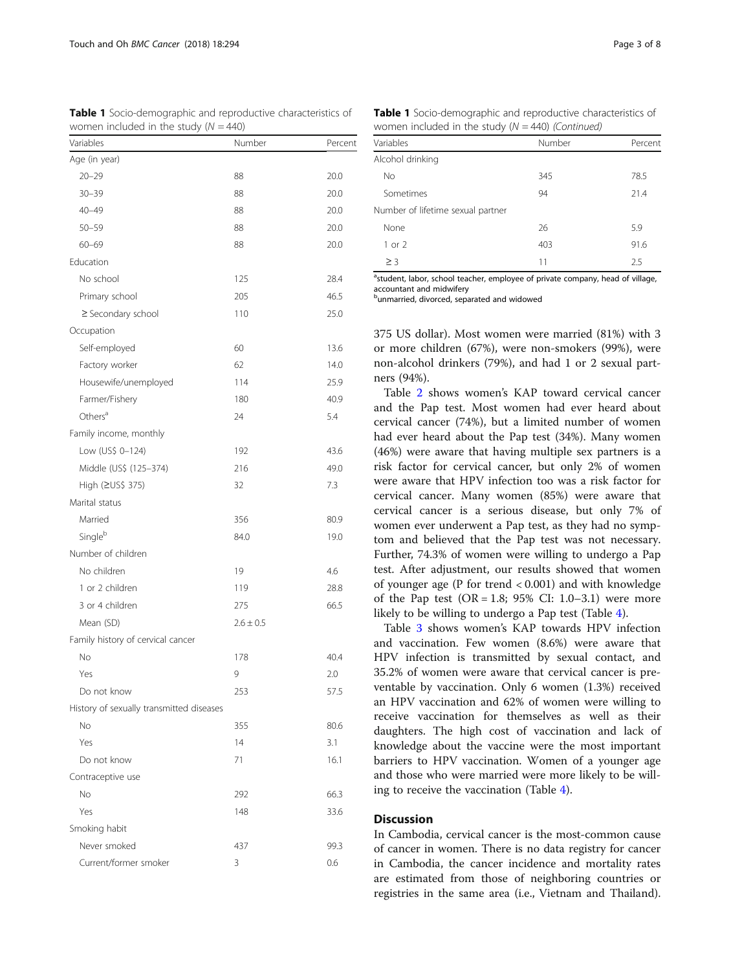| Age (in year)<br>$20 - 29$<br>88<br>$30 - 39$<br>88<br>$40 - 49$<br>88<br>$50 - 59$<br>88<br>$60 - 69$<br>88<br>Education<br>No school<br>125<br>Primary school<br>205<br>≥ Secondary school<br>110<br>Occupation<br>Self-employed<br>60<br>62<br>Factory worker<br>Housewife/unemployed<br>114<br>Farmer/Fishery<br>180<br>Others <sup>a</sup><br>24<br>Family income, monthly<br>Low (US\$ 0-124)<br>192<br>Middle (US\$ (125-374)<br>216<br>High (≥US\$ 375)<br>32<br>Marital status<br>Married<br>356<br>Singleb<br>84.0<br>Number of children<br>No children<br>19<br>1 or 2 children<br>119<br>3 or 4 children<br>275<br>Mean (SD)<br>$2.6 \pm 0.5$<br>Family history of cervical cancer<br>No<br>178<br>Yes<br>9<br>Do not know<br>253<br>History of sexually transmitted diseases<br>No<br>355<br>Yes<br>14<br>Do not know<br>71 | Number<br>Percent |
|------------------------------------------------------------------------------------------------------------------------------------------------------------------------------------------------------------------------------------------------------------------------------------------------------------------------------------------------------------------------------------------------------------------------------------------------------------------------------------------------------------------------------------------------------------------------------------------------------------------------------------------------------------------------------------------------------------------------------------------------------------------------------------------------------------------------------------------|-------------------|
|                                                                                                                                                                                                                                                                                                                                                                                                                                                                                                                                                                                                                                                                                                                                                                                                                                          |                   |
|                                                                                                                                                                                                                                                                                                                                                                                                                                                                                                                                                                                                                                                                                                                                                                                                                                          | 20.0              |
|                                                                                                                                                                                                                                                                                                                                                                                                                                                                                                                                                                                                                                                                                                                                                                                                                                          | 20.0              |
|                                                                                                                                                                                                                                                                                                                                                                                                                                                                                                                                                                                                                                                                                                                                                                                                                                          | 20.0              |
|                                                                                                                                                                                                                                                                                                                                                                                                                                                                                                                                                                                                                                                                                                                                                                                                                                          | 20.0              |
|                                                                                                                                                                                                                                                                                                                                                                                                                                                                                                                                                                                                                                                                                                                                                                                                                                          | 20.0              |
|                                                                                                                                                                                                                                                                                                                                                                                                                                                                                                                                                                                                                                                                                                                                                                                                                                          |                   |
|                                                                                                                                                                                                                                                                                                                                                                                                                                                                                                                                                                                                                                                                                                                                                                                                                                          | 28.4              |
|                                                                                                                                                                                                                                                                                                                                                                                                                                                                                                                                                                                                                                                                                                                                                                                                                                          | 46.5              |
|                                                                                                                                                                                                                                                                                                                                                                                                                                                                                                                                                                                                                                                                                                                                                                                                                                          | 25.0              |
|                                                                                                                                                                                                                                                                                                                                                                                                                                                                                                                                                                                                                                                                                                                                                                                                                                          |                   |
|                                                                                                                                                                                                                                                                                                                                                                                                                                                                                                                                                                                                                                                                                                                                                                                                                                          | 13.6              |
|                                                                                                                                                                                                                                                                                                                                                                                                                                                                                                                                                                                                                                                                                                                                                                                                                                          | 14.0              |
|                                                                                                                                                                                                                                                                                                                                                                                                                                                                                                                                                                                                                                                                                                                                                                                                                                          | 25.9              |
|                                                                                                                                                                                                                                                                                                                                                                                                                                                                                                                                                                                                                                                                                                                                                                                                                                          | 40.9              |
|                                                                                                                                                                                                                                                                                                                                                                                                                                                                                                                                                                                                                                                                                                                                                                                                                                          | 5.4               |
|                                                                                                                                                                                                                                                                                                                                                                                                                                                                                                                                                                                                                                                                                                                                                                                                                                          |                   |
|                                                                                                                                                                                                                                                                                                                                                                                                                                                                                                                                                                                                                                                                                                                                                                                                                                          | 43.6              |
|                                                                                                                                                                                                                                                                                                                                                                                                                                                                                                                                                                                                                                                                                                                                                                                                                                          | 49.0              |
|                                                                                                                                                                                                                                                                                                                                                                                                                                                                                                                                                                                                                                                                                                                                                                                                                                          | 7.3               |
|                                                                                                                                                                                                                                                                                                                                                                                                                                                                                                                                                                                                                                                                                                                                                                                                                                          |                   |
|                                                                                                                                                                                                                                                                                                                                                                                                                                                                                                                                                                                                                                                                                                                                                                                                                                          | 80.9              |
|                                                                                                                                                                                                                                                                                                                                                                                                                                                                                                                                                                                                                                                                                                                                                                                                                                          | 19.0              |
|                                                                                                                                                                                                                                                                                                                                                                                                                                                                                                                                                                                                                                                                                                                                                                                                                                          |                   |
|                                                                                                                                                                                                                                                                                                                                                                                                                                                                                                                                                                                                                                                                                                                                                                                                                                          | 4.6               |
|                                                                                                                                                                                                                                                                                                                                                                                                                                                                                                                                                                                                                                                                                                                                                                                                                                          | 28.8              |
|                                                                                                                                                                                                                                                                                                                                                                                                                                                                                                                                                                                                                                                                                                                                                                                                                                          | 66.5              |
|                                                                                                                                                                                                                                                                                                                                                                                                                                                                                                                                                                                                                                                                                                                                                                                                                                          |                   |
|                                                                                                                                                                                                                                                                                                                                                                                                                                                                                                                                                                                                                                                                                                                                                                                                                                          |                   |
|                                                                                                                                                                                                                                                                                                                                                                                                                                                                                                                                                                                                                                                                                                                                                                                                                                          | 40.4              |
|                                                                                                                                                                                                                                                                                                                                                                                                                                                                                                                                                                                                                                                                                                                                                                                                                                          | 2.0               |
|                                                                                                                                                                                                                                                                                                                                                                                                                                                                                                                                                                                                                                                                                                                                                                                                                                          | 57.5              |
|                                                                                                                                                                                                                                                                                                                                                                                                                                                                                                                                                                                                                                                                                                                                                                                                                                          |                   |
|                                                                                                                                                                                                                                                                                                                                                                                                                                                                                                                                                                                                                                                                                                                                                                                                                                          | 80.6              |
|                                                                                                                                                                                                                                                                                                                                                                                                                                                                                                                                                                                                                                                                                                                                                                                                                                          | 3.1               |
|                                                                                                                                                                                                                                                                                                                                                                                                                                                                                                                                                                                                                                                                                                                                                                                                                                          | 16.1              |
| Contraceptive use                                                                                                                                                                                                                                                                                                                                                                                                                                                                                                                                                                                                                                                                                                                                                                                                                        |                   |
| No<br>292                                                                                                                                                                                                                                                                                                                                                                                                                                                                                                                                                                                                                                                                                                                                                                                                                                | 66.3              |
| Yes<br>148                                                                                                                                                                                                                                                                                                                                                                                                                                                                                                                                                                                                                                                                                                                                                                                                                               | 33.6              |
| Smoking habit                                                                                                                                                                                                                                                                                                                                                                                                                                                                                                                                                                                                                                                                                                                                                                                                                            |                   |
| Never smoked<br>437                                                                                                                                                                                                                                                                                                                                                                                                                                                                                                                                                                                                                                                                                                                                                                                                                      | 99.3              |
| Current/former smoker<br>3                                                                                                                                                                                                                                                                                                                                                                                                                                                                                                                                                                                                                                                                                                                                                                                                               | 0.6               |

<span id="page-2-0"></span>Table 1 Socio-demographic and reproductive characteristics of women included in the study  $(N = 440)$ 

Table 1 Socio-demographic and reproductive characteristics of women included in the study  $(N = 440)$  (Continued)

| Variables                         | Number | Percent |  |
|-----------------------------------|--------|---------|--|
| Alcohol drinking                  |        |         |  |
| No                                | 345    | 78.5    |  |
| Sometimes                         | 94     | 21.4    |  |
| Number of lifetime sexual partner |        |         |  |
| None                              | 26     | 5.9     |  |
| $1$ or $2$                        | 403    | 91.6    |  |
| $\geq$ 3                          | 11     | 2.5     |  |

<sup>a</sup>student, labor, school teacher, employee of private company, head of village, accountant and midwifery

bunmarried, divorced, separated and widowed

375 US dollar). Most women were married (81%) with 3 or more children (67%), were non-smokers (99%), were non-alcohol drinkers (79%), and had 1 or 2 sexual partners (94%).

Table [2](#page-3-0) shows women's KAP toward cervical cancer and the Pap test. Most women had ever heard about cervical cancer (74%), but a limited number of women had ever heard about the Pap test (34%). Many women (46%) were aware that having multiple sex partners is a risk factor for cervical cancer, but only 2% of women were aware that HPV infection too was a risk factor for cervical cancer. Many women (85%) were aware that cervical cancer is a serious disease, but only 7% of women ever underwent a Pap test, as they had no symptom and believed that the Pap test was not necessary. Further, 74.3% of women were willing to undergo a Pap test. After adjustment, our results showed that women of younger age (P for trend < 0.001) and with knowledge of the Pap test (OR = 1.8;  $95\%$  CI: 1.0–3.1) were more likely to be willing to undergo a Pap test (Table [4\)](#page-5-0).

Table [3](#page-4-0) shows women's KAP towards HPV infection and vaccination. Few women (8.6%) were aware that HPV infection is transmitted by sexual contact, and 35.2% of women were aware that cervical cancer is preventable by vaccination. Only 6 women (1.3%) received an HPV vaccination and 62% of women were willing to receive vaccination for themselves as well as their daughters. The high cost of vaccination and lack of knowledge about the vaccine were the most important barriers to HPV vaccination. Women of a younger age and those who were married were more likely to be willing to receive the vaccination (Table [4](#page-5-0)).

#### **Discussion**

In Cambodia, cervical cancer is the most-common cause of cancer in women. There is no data registry for cancer in Cambodia, the cancer incidence and mortality rates are estimated from those of neighboring countries or registries in the same area (i.e., Vietnam and Thailand).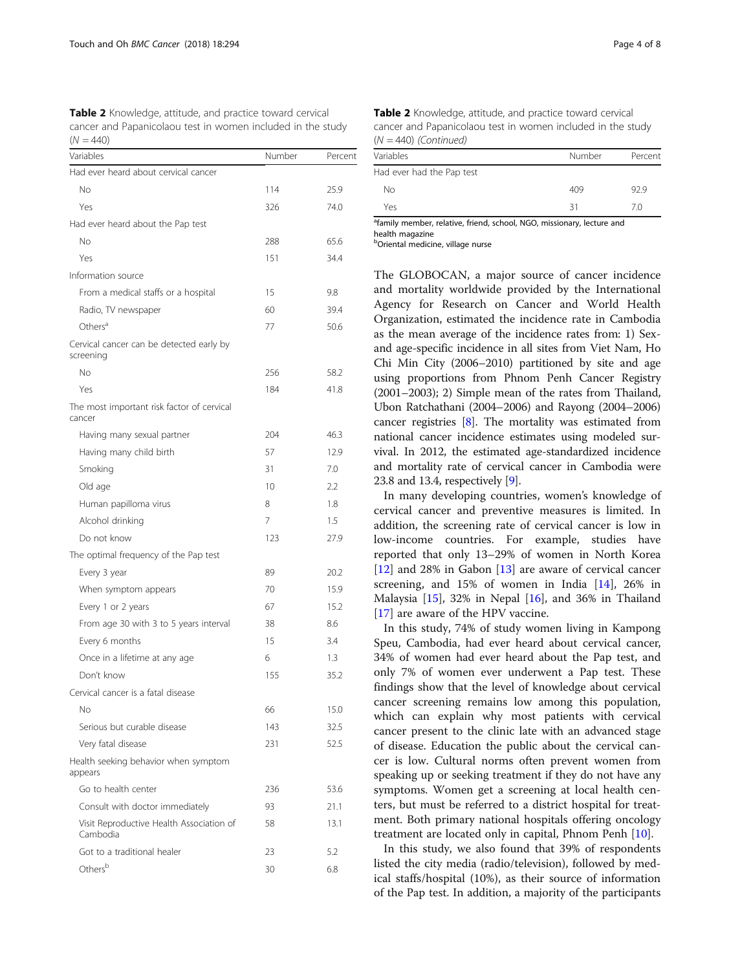<span id="page-3-0"></span>Table 2 Knowledge, attitude, and practice toward cervical cancer and Papanicolaou test in women included in the study  $(N = 440)$ 

| Variables                                             | Number | Percent |
|-------------------------------------------------------|--------|---------|
| Had ever heard about cervical cancer                  |        |         |
| No                                                    | 114    | 25.9    |
| Yes                                                   | 326    | 74.0    |
| Had ever heard about the Pap test                     |        |         |
| <b>No</b>                                             | 288    | 65.6    |
| Yes                                                   | 151    | 34.4    |
| Information source                                    |        |         |
| From a medical staffs or a hospital                   | 15     | 9.8     |
| Radio, TV newspaper                                   | 60     | 39.4    |
| Others <sup>a</sup>                                   | 77     | 50.6    |
| Cervical cancer can be detected early by<br>screening |        |         |
| No                                                    | 256    | 58.2    |
| Yes                                                   | 184    | 41.8    |
| The most important risk factor of cervical<br>cancer  |        |         |
| Having many sexual partner                            | 204    | 46.3    |
| Having many child birth                               | 57     | 12.9    |
| Smoking                                               | 31     | 7.0     |
| Old age                                               | 10     | 2.2     |
| Human papilloma virus                                 | 8      | 1.8     |
| Alcohol drinking                                      | 7      | 1.5     |
| Do not know                                           | 123    | 27.9    |
| The optimal frequency of the Pap test                 |        |         |
| Every 3 year                                          | 89     | 20.2    |
| When symptom appears                                  | 70     | 15.9    |
| Every 1 or 2 years                                    | 67     | 15.2    |
| From age 30 with 3 to 5 years interval                | 38     | 8.6     |
| Every 6 months                                        | 15     | 3.4     |
| Once in a lifetime at any age                         | 6      | 1.3     |
| Don't know                                            | 155    | 35.2    |
| Cervical cancer is a fatal disease                    |        |         |
| No                                                    | 66     | 15.0    |
| Serious but curable disease                           | 143    | 32.5    |
| Very fatal disease                                    | 231    | 52.5    |
| Health seeking behavior when symptom<br>appears       |        |         |
| Go to health center                                   | 236    | 53.6    |
| Consult with doctor immediately                       | 93     | 21.1    |
| Visit Reproductive Health Association of<br>Cambodia  | 58     | 13.1    |
| Got to a traditional healer                           | 23     | 5.2     |
| Others <sup>b</sup>                                   | 30     | 6.8     |
|                                                       |        |         |

Table 2 Knowledge, attitude, and practice toward cervical cancer and Papanicolaou test in women included in the study  $(N = 440)$  (Continued)

| Number | Percent |  |
|--------|---------|--|
|        |         |  |
| 409    | 92.9    |  |
| 31     | 7.0     |  |
|        |         |  |

<sup>a</sup>family member, relative, friend, school, NGO, missionary, lecture and health magazine

**b**Oriental medicine, village nurse

The GLOBOCAN, a major source of cancer incidence and mortality worldwide provided by the International Agency for Research on Cancer and World Health Organization, estimated the incidence rate in Cambodia as the mean average of the incidence rates from: 1) Sexand age-specific incidence in all sites from Viet Nam, Ho Chi Min City (2006–2010) partitioned by site and age using proportions from Phnom Penh Cancer Registry (2001–2003); 2) Simple mean of the rates from Thailand, Ubon Ratchathani (2004–2006) and Rayong (2004–2006) cancer registries [\[8](#page-7-0)]. The mortality was estimated from national cancer incidence estimates using modeled survival. In 2012, the estimated age-standardized incidence and mortality rate of cervical cancer in Cambodia were 23.8 and 13.4, respectively [[9\]](#page-7-0).

In many developing countries, women's knowledge of cervical cancer and preventive measures is limited. In addition, the screening rate of cervical cancer is low in low-income countries. For example, studies have reported that only 13–29% of women in North Korea [[12\]](#page-7-0) and 28% in Gabon [\[13](#page-7-0)] are aware of cervical cancer screening, and 15% of women in India [\[14](#page-7-0)], 26% in Malaysia [[15](#page-7-0)], 32% in Nepal [\[16\]](#page-7-0), and 36% in Thailand [[17\]](#page-7-0) are aware of the HPV vaccine.

In this study, 74% of study women living in Kampong Speu, Cambodia, had ever heard about cervical cancer, 34% of women had ever heard about the Pap test, and only 7% of women ever underwent a Pap test. These findings show that the level of knowledge about cervical cancer screening remains low among this population, which can explain why most patients with cervical cancer present to the clinic late with an advanced stage of disease. Education the public about the cervical cancer is low. Cultural norms often prevent women from speaking up or seeking treatment if they do not have any symptoms. Women get a screening at local health centers, but must be referred to a district hospital for treatment. Both primary national hospitals offering oncology treatment are located only in capital, Phnom Penh [[10](#page-7-0)].

In this study, we also found that 39% of respondents listed the city media (radio/television), followed by medical staffs/hospital (10%), as their source of information of the Pap test. In addition, a majority of the participants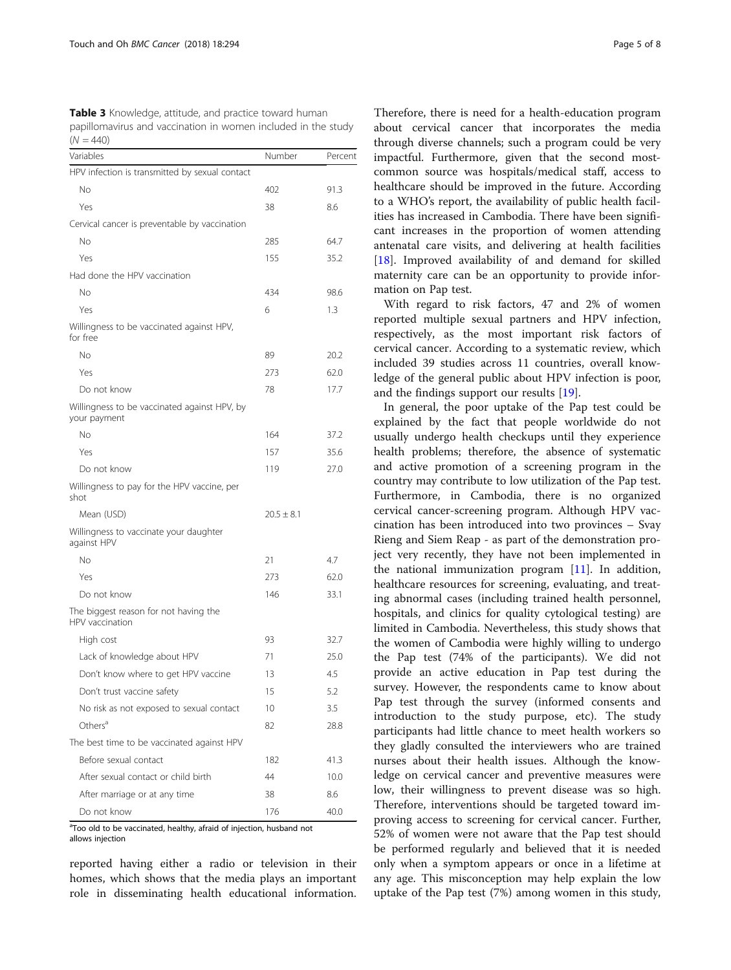<span id="page-4-0"></span>Table 3 Knowledge, attitude, and practice toward human papillomavirus and vaccination in women included in the study  $(N - 440)$ 

| Variables                                                    | Number         | Percent |
|--------------------------------------------------------------|----------------|---------|
| HPV infection is transmitted by sexual contact               |                |         |
| Νo                                                           | 402            | 91.3    |
| Yes                                                          | 38             | 8.6     |
| Cervical cancer is preventable by vaccination                |                |         |
| No                                                           | 285            | 64.7    |
| Yes                                                          | 155            | 35.2    |
| Had done the HPV vaccination                                 |                |         |
| No                                                           | 434            | 98.6    |
| Yes                                                          | 6              | 1.3     |
| Willingness to be vaccinated against HPV,<br>for free        |                |         |
| No                                                           | 89             | 20.2    |
| Yes                                                          | 273            | 62.0    |
| Do not know                                                  | 78             | 17.7    |
| Willingness to be vaccinated against HPV, by<br>your payment |                |         |
| <b>No</b>                                                    | 164            | 37.2    |
| Yes                                                          | 157            | 35.6    |
| Do not know                                                  | 119            | 27.0    |
| Willingness to pay for the HPV vaccine, per<br>shot          |                |         |
| Mean (USD)                                                   | $20.5 \pm 8.1$ |         |
| Willingness to vaccinate your daughter<br>against HPV        |                |         |
| No                                                           | 21             | 4.7     |
| Yes                                                          | 273            | 62.0    |
| Do not know                                                  | 146            | 33.1    |
| The biggest reason for not having the<br>HPV vaccination     |                |         |
| High cost                                                    | 93             | 32.7    |
| Lack of knowledge about HPV                                  | 71             | 25.0    |
| Don't know where to get HPV vaccine                          | 13             | 4.5     |
| Don't trust vaccine safety                                   | 15             | 5.2     |
| No risk as not exposed to sexual contact                     | 10             | 3.5     |
| Others <sup>a</sup>                                          | 82             | 28.8    |
| The best time to be vaccinated against HPV                   |                |         |
| Before sexual contact                                        | 182            | 41.3    |
| After sexual contact or child birth                          | 44             | 10.0    |
| After marriage or at any time                                | 38             | 8.6     |
| Do not know                                                  | 176            | 40.0    |

<sup>a</sup>Too old to be vaccinated, healthy, afraid of injection, husband not allows injection

reported having either a radio or television in their homes, which shows that the media plays an important role in disseminating health educational information. Therefore, there is need for a health-education program about cervical cancer that incorporates the media through diverse channels; such a program could be very impactful. Furthermore, given that the second mostcommon source was hospitals/medical staff, access to healthcare should be improved in the future. According to a WHO's report, the availability of public health facilities has increased in Cambodia. There have been significant increases in the proportion of women attending antenatal care visits, and delivering at health facilities [[18\]](#page-7-0). Improved availability of and demand for skilled maternity care can be an opportunity to provide information on Pap test.

With regard to risk factors, 47 and 2% of women reported multiple sexual partners and HPV infection, respectively, as the most important risk factors of cervical cancer. According to a systematic review, which included 39 studies across 11 countries, overall knowledge of the general public about HPV infection is poor, and the findings support our results [\[19](#page-7-0)].

In general, the poor uptake of the Pap test could be explained by the fact that people worldwide do not usually undergo health checkups until they experience health problems; therefore, the absence of systematic and active promotion of a screening program in the country may contribute to low utilization of the Pap test. Furthermore, in Cambodia, there is no organized cervical cancer-screening program. Although HPV vaccination has been introduced into two provinces – Svay Rieng and Siem Reap - as part of the demonstration project very recently, they have not been implemented in the national immunization program [[11\]](#page-7-0). In addition, healthcare resources for screening, evaluating, and treating abnormal cases (including trained health personnel, hospitals, and clinics for quality cytological testing) are limited in Cambodia. Nevertheless, this study shows that the women of Cambodia were highly willing to undergo the Pap test (74% of the participants). We did not provide an active education in Pap test during the survey. However, the respondents came to know about Pap test through the survey (informed consents and introduction to the study purpose, etc). The study participants had little chance to meet health workers so they gladly consulted the interviewers who are trained nurses about their health issues. Although the knowledge on cervical cancer and preventive measures were low, their willingness to prevent disease was so high. Therefore, interventions should be targeted toward improving access to screening for cervical cancer. Further, 52% of women were not aware that the Pap test should be performed regularly and believed that it is needed only when a symptom appears or once in a lifetime at any age. This misconception may help explain the low uptake of the Pap test (7%) among women in this study,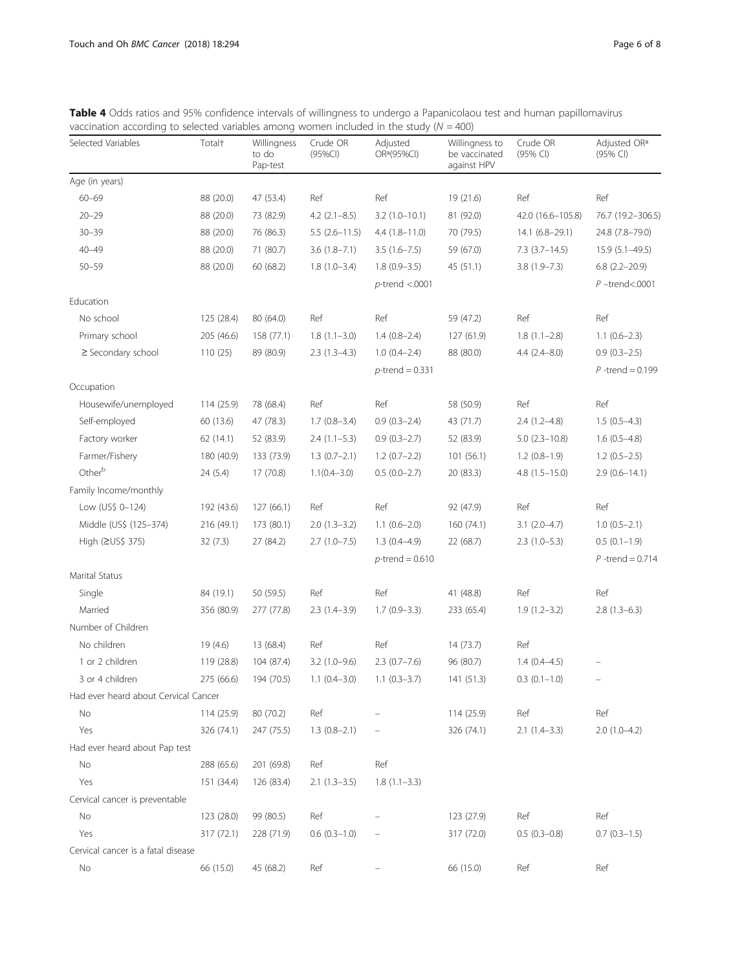<span id="page-5-0"></span>

| Table 4 Odds ratios and 95% confidence intervals of willingness to undergo a Papanicolaou test and human papillomavirus |  |
|-------------------------------------------------------------------------------------------------------------------------|--|
| vaccination according to selected variables among women included in the study ( $N = 400$ )                             |  |

| Selected Variables                   | Total <sup>+</sup> | Willingness<br>to do<br>Pap-test | Crude OR<br>$(95\%CI)$ | Adjusted<br>OR <sup>a</sup> (95%Cl) | Willingness to<br>be vaccinated<br>against HPV | Crude OR<br>(95% CI) | Adjusted OR <sup>a</sup><br>(95% CI) |
|--------------------------------------|--------------------|----------------------------------|------------------------|-------------------------------------|------------------------------------------------|----------------------|--------------------------------------|
| Age (in years)                       |                    |                                  |                        |                                     |                                                |                      |                                      |
| $60 - 69$                            | 88 (20.0)          | 47 (53.4)                        | Ref                    | Ref                                 | 19 (21.6)                                      | Ref                  | Ref                                  |
| $20 - 29$                            | 88 (20.0)          | 73 (82.9)                        | $4.2$ $(2.1 - 8.5)$    | $3.2(1.0-10.1)$                     | 81 (92.0)                                      | 42.0 (16.6-105.8)    | 76.7 (19.2-306.5)                    |
| $30 - 39$                            | 88 (20.0)          | 76 (86.3)                        | $5.5(2.6 - 11.5)$      | $4.4(1.8-11.0)$                     | 70 (79.5)                                      | $14.1 (6.8 - 29.1)$  | 24.8 (7.8-79.0)                      |
| $40 - 49$                            | 88 (20.0)          | 71 (80.7)                        | $3.6(1.8 - 7.1)$       | $3.5(1.6 - 7.5)$                    | 59 (67.0)                                      | $7.3$ $(3.7-14.5)$   | $15.9(5.1-49.5)$                     |
| $50 - 59$                            | 88 (20.0)          | 60 (68.2)                        | $1.8(1.0-3.4)$         | $1.8(0.9-3.5)$                      | 45 (51.1)                                      | $3.8(1.9 - 7.3)$     | $6.8$ $(2.2 - 20.9)$                 |
|                                      |                    |                                  |                        | $p$ -trend <.0001                   |                                                |                      | $P$ -trend<.0001                     |
| Education                            |                    |                                  |                        |                                     |                                                |                      |                                      |
| No school                            | 125 (28.4)         | 80 (64.0)                        | Ref                    | Ref                                 | 59 (47.2)                                      | Ref                  | Ref                                  |
| Primary school                       | 205 (46.6)         | 158 (77.1)                       | $1.8(1.1 - 3.0)$       | $1.4(0.8-2.4)$                      | 127 (61.9)                                     | $1.8(1.1-2.8)$       | $1.1(0.6-2.3)$                       |
| ≥ Secondary school                   | 110(25)            | 89 (80.9)                        | $2.3(1.3-4.3)$         | $1.0(0.4 - 2.4)$                    | 88 (80.0)                                      | $4.4(2.4 - 8.0)$     | $0.9(0.3-2.5)$                       |
|                                      |                    |                                  |                        | $p$ -trend = 0.331                  |                                                |                      | $P$ -trend = 0.199                   |
| Occupation                           |                    |                                  |                        |                                     |                                                |                      |                                      |
| Housewife/unemployed                 | 114 (25.9)         | 78 (68.4)                        | Ref                    | Ref                                 | 58 (50.9)                                      | Ref                  | Ref                                  |
| Self-employed                        | 60 (13.6)          | 47 (78.3)                        | $1.7(0.8-3.4)$         | $0.9(0.3 - 2.4)$                    | 43 (71.7)                                      | $2.4(1.2 - 4.8)$     | $1.5(0.5-4.3)$                       |
| Factory worker                       | 62(14.1)           | 52 (83.9)                        | $2.4(1.1-5.3)$         | $0.9(0.3-2.7)$                      | 52 (83.9)                                      | $5.0(2.3 - 10.8)$    | $1.6(0.5-4.8)$                       |
| Farmer/Fishery                       | 180 (40.9)         | 133 (73.9)                       | $1.3(0.7-2.1)$         | $1.2(0.7-2.2)$                      | 101 (56.1)                                     | $1.2(0.8-1.9)$       | $1.2(0.5-2.5)$                       |
| Other <sup>b</sup>                   | 24(5.4)            | 17 (70.8)                        | $1.1(0.4 - 3.0)$       | $0.5(0.0-2.7)$                      | 20 (83.3)                                      | $4.8(1.5-15.0)$      | $2.9(0.6 - 14.1)$                    |
| Family Income/monthly                |                    |                                  |                        |                                     |                                                |                      |                                      |
| Low (US\$ 0-124)                     | 192 (43.6)         | 127(66.1)                        | Ref                    | Ref                                 | 92 (47.9)                                      | Ref                  | Ref                                  |
| Middle (US\$ (125-374)               | 216 (49.1)         | 173 (80.1)                       | $2.0(1.3-3.2)$         | $1.1(0.6-2.0)$                      | 160 (74.1)                                     | $3.1 (2.0 - 4.7)$    | $1.0(0.5-2.1)$                       |
| High (≥US\$ 375)                     | 32(7.3)            | 27 (84.2)                        | $2.7(1.0 - 7.5)$       | $1.3(0.4-4.9)$                      | 22 (68.7)                                      | $2.3(1.0-5.3)$       | $0.5(0.1-1.9)$                       |
|                                      |                    |                                  |                        | $p$ -trend = 0.610                  |                                                |                      | $P$ -trend = 0.714                   |
| Marital Status                       |                    |                                  |                        |                                     |                                                |                      |                                      |
| Single                               | 84 (19.1)          | 50 (59.5)                        | Ref                    | Ref                                 | 41 (48.8)                                      | Ref                  | Ref                                  |
| Married                              | 356 (80.9)         | 277 (77.8)                       | $2.3(1.4-3.9)$         | $1.7(0.9-3.3)$                      | 233 (65.4)                                     | $1.9(1.2 - 3.2)$     | $2.8(1.3-6.3)$                       |
| Number of Children                   |                    |                                  |                        |                                     |                                                |                      |                                      |
| No children                          | 19(4.6)            | 13 (68.4)                        | Ref                    | Ref                                 | 14(73.7)                                       | Ref                  |                                      |
| 1 or 2 children                      | 119 (28.8)         | 104 (87.4)                       | $3.2(1.0-9.6)$         | $2.3(0.7 - 7.6)$                    | 96 (80.7)                                      | $1.4(0.4-4.5)$       |                                      |
| 3 or 4 children.                     | 275 (66.6)         | 194 (70.5)                       | $1.1(0.4-3.0)$         | $1.1(0.3-3.7)$                      | 141(51.3)                                      | $0.3(0.1-1.0)$       |                                      |
| Had ever heard about Cervical Cancer |                    |                                  |                        |                                     |                                                |                      |                                      |
| No                                   | 114 (25.9)         | 80 (70.2)                        | Ref                    |                                     | 114 (25.9)                                     | Ref                  | Ref                                  |
| Yes                                  | 326 (74.1)         | 247 (75.5)                       | $1.3(0.8-2.1)$         |                                     | 326 (74.1)                                     | $2.1(1.4-3.3)$       | $2.0(1.0-4.2)$                       |
| Had ever heard about Pap test        |                    |                                  |                        |                                     |                                                |                      |                                      |
| No                                   | 288 (65.6)         | 201 (69.8)                       | Ref                    | Ref                                 |                                                |                      |                                      |
| Yes                                  | 151 (34.4)         | 126 (83.4)                       | $2.1(1.3-3.5)$         | $1.8(1.1-3.3)$                      |                                                |                      |                                      |
| Cervical cancer is preventable       |                    |                                  |                        |                                     |                                                |                      |                                      |
| No                                   | 123 (28.0)         | 99 (80.5)                        | Ref                    |                                     | 123 (27.9)                                     | Ref                  | Ref                                  |
| Yes                                  | 317(72.1)          | 228 (71.9)                       | $0.6(0.3-1.0)$         |                                     | 317 (72.0)                                     | $0.5(0.3-0.8)$       | $0.7(0.3-1.5)$                       |
| Cervical cancer is a fatal disease   |                    |                                  |                        |                                     |                                                |                      |                                      |
| No                                   | 66 (15.0)          | 45 (68.2)                        | Ref                    |                                     | 66 (15.0)                                      | Ref                  | Ref                                  |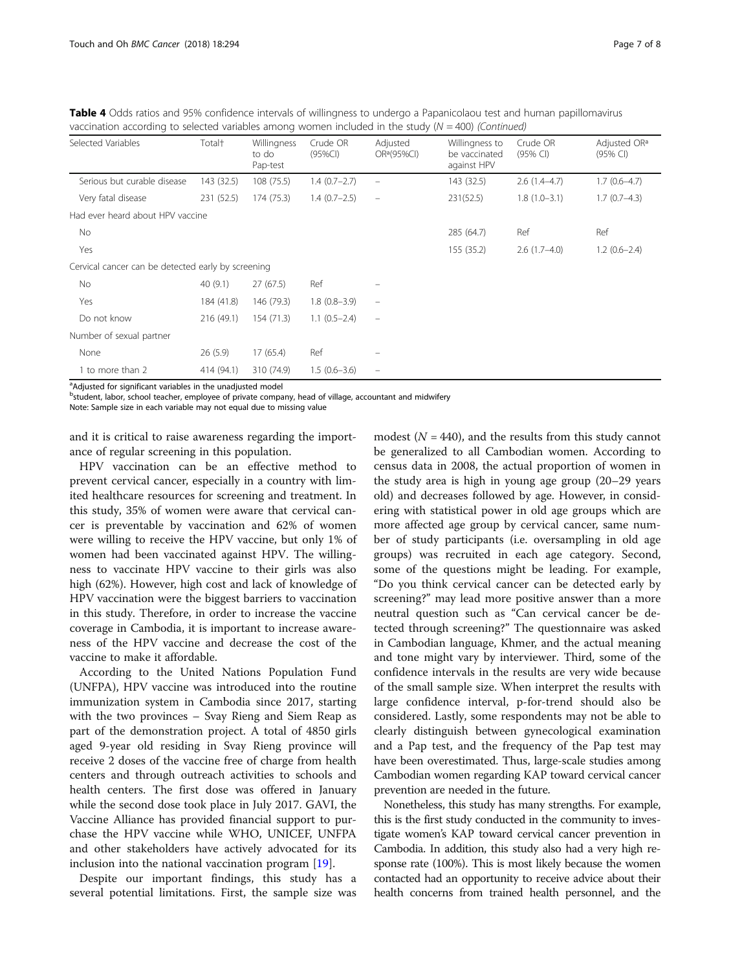| vaccination according to selected variables among women included in the study (N = 400) (Continued) |                    |                                  |                        |                                     |                                                |                      |                                        |
|-----------------------------------------------------------------------------------------------------|--------------------|----------------------------------|------------------------|-------------------------------------|------------------------------------------------|----------------------|----------------------------------------|
| Selected Variables                                                                                  | Total <sup>+</sup> | Willingness<br>to do<br>Pap-test | Crude OR<br>$(95\%CI)$ | Adjusted<br>OR <sup>a</sup> (95%Cl) | Willingness to<br>be vaccinated<br>against HPV | Crude OR<br>(95% CI) | Adjusted OR <sup>a</sup><br>$(95%$ CI) |
| Serious but curable disease                                                                         | 143 (32.5)         | 108 (75.5)                       | $1.4(0.7-2.7)$         | $\overline{\phantom{m}}$            | 143 (32.5)                                     | $2.6(1.4-4.7)$       | $1.7(0.6-4.7)$                         |
| Very fatal disease                                                                                  | 231 (52.5)         | 174 (75.3)                       | $1.4(0.7-2.5)$         | $\qquad \qquad =$                   | 231(52.5)                                      | $1.8(1.0-3.1)$       | $1.7(0.7-4.3)$                         |
| Had ever heard about HPV vaccine                                                                    |                    |                                  |                        |                                     |                                                |                      |                                        |
| No.                                                                                                 |                    |                                  |                        |                                     | 285 (64.7)                                     | Ref                  | Ref                                    |
| Yes                                                                                                 |                    |                                  |                        |                                     | 155(35.2)                                      | $2.6(1.7-4.0)$       | $1.2(0.6-2.4)$                         |
| Cervical cancer can be detected early by screening                                                  |                    |                                  |                        |                                     |                                                |                      |                                        |
| No.                                                                                                 | 40(9.1)            | 27(67.5)                         | Ref                    |                                     |                                                |                      |                                        |
| Yes                                                                                                 | 184 (41.8)         | 146 (79.3)                       | $1.8(0.8-3.9)$         |                                     |                                                |                      |                                        |
| Do not know                                                                                         | 216(49.1)          | 154 (71.3)                       | $1.1(0.5-2.4)$         |                                     |                                                |                      |                                        |
| Number of sexual partner                                                                            |                    |                                  |                        |                                     |                                                |                      |                                        |
| None                                                                                                | 26(5.9)            | 17(65.4)                         | Ref                    |                                     |                                                |                      |                                        |
| 1 to more than 2                                                                                    | 414 (94.1)         | 310 (74.9)                       | $1.5(0.6-3.6)$         |                                     |                                                |                      |                                        |
|                                                                                                     |                    |                                  |                        |                                     |                                                |                      |                                        |

Table 4 Odds ratios and 95% confidence intervals of willingness to undergo a Papanicolaou test and human papillomavirus<br>Unasipation according to selected unfields execute ungers included in the study (Nu 400) (Captinuar) vaccination according to selected variables among women included in the study  $(N = 400)$  (Continued)

<sup>a</sup>Adjusted for significant variables in the unadjusted model

<sup>b</sup>student, labor, school teacher, employee of private company, head of village, accountant and midwifery

Note: Sample size in each variable may not equal due to missing value

and it is critical to raise awareness regarding the importance of regular screening in this population.

HPV vaccination can be an effective method to prevent cervical cancer, especially in a country with limited healthcare resources for screening and treatment. In this study, 35% of women were aware that cervical cancer is preventable by vaccination and 62% of women were willing to receive the HPV vaccine, but only 1% of women had been vaccinated against HPV. The willingness to vaccinate HPV vaccine to their girls was also high (62%). However, high cost and lack of knowledge of HPV vaccination were the biggest barriers to vaccination in this study. Therefore, in order to increase the vaccine coverage in Cambodia, it is important to increase awareness of the HPV vaccine and decrease the cost of the vaccine to make it affordable.

According to the United Nations Population Fund (UNFPA), HPV vaccine was introduced into the routine immunization system in Cambodia since 2017, starting with the two provinces – Svay Rieng and Siem Reap as part of the demonstration project. A total of 4850 girls aged 9-year old residing in Svay Rieng province will receive 2 doses of the vaccine free of charge from health centers and through outreach activities to schools and health centers. The first dose was offered in January while the second dose took place in July 2017. GAVI, the Vaccine Alliance has provided financial support to purchase the HPV vaccine while WHO, UNICEF, UNFPA and other stakeholders have actively advocated for its inclusion into the national vaccination program [\[19\]](#page-7-0).

Despite our important findings, this study has a several potential limitations. First, the sample size was

modest ( $N = 440$ ), and the results from this study cannot be generalized to all Cambodian women. According to census data in 2008, the actual proportion of women in the study area is high in young age group (20–29 years old) and decreases followed by age. However, in considering with statistical power in old age groups which are more affected age group by cervical cancer, same number of study participants (i.e. oversampling in old age groups) was recruited in each age category. Second, some of the questions might be leading. For example, "Do you think cervical cancer can be detected early by screening?" may lead more positive answer than a more neutral question such as "Can cervical cancer be detected through screening?" The questionnaire was asked in Cambodian language, Khmer, and the actual meaning and tone might vary by interviewer. Third, some of the confidence intervals in the results are very wide because of the small sample size. When interpret the results with large confidence interval, p-for-trend should also be considered. Lastly, some respondents may not be able to clearly distinguish between gynecological examination and a Pap test, and the frequency of the Pap test may have been overestimated. Thus, large-scale studies among Cambodian women regarding KAP toward cervical cancer prevention are needed in the future.

Nonetheless, this study has many strengths. For example, this is the first study conducted in the community to investigate women's KAP toward cervical cancer prevention in Cambodia. In addition, this study also had a very high response rate (100%). This is most likely because the women contacted had an opportunity to receive advice about their health concerns from trained health personnel, and the